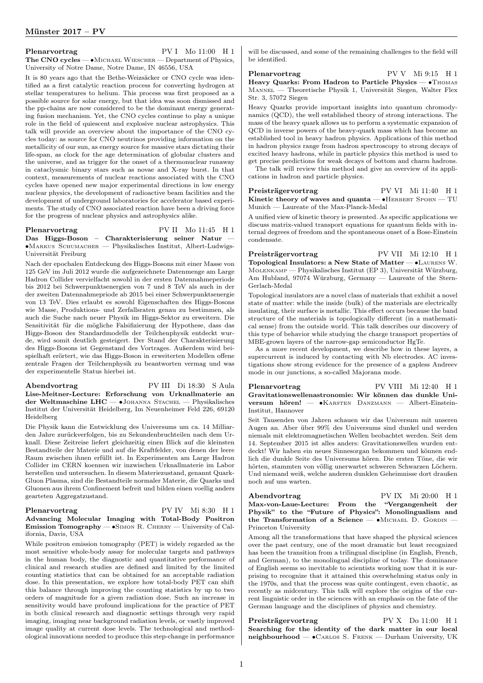### Plenarvortrag PV I Mo 11:00 H 1 The CNO cycles — • Michael Wiescher — Department of Physics, University of Notre Dame, Notre Dame, IN 46556, USA

It is 80 years ago that the Bethe-Weizsäcker or CNO cycle was identified as a first catalytic reaction process for converting hydrogen at stellar temperatures to helium. This process was first proposed as a possible source for solar energy, but that idea was soon dismissed and the pp-chains are now considered to be the dominant energy generating fusion mechanism. Yet, the CNO cycles continue to play a unique role in the field of quiescent and explosive nuclear astrophysics. This talk will provide an overview about the importance of the CNO cycles today: as source for CNO neutrinos providing information on the metallicity of our sun, as energy source for massive stars dictating their life-span, as clock for the age determination of globular clusters and the universe, and as trigger for the onset of a thermonuclear runaway in cataclysmic binary stars such as novae and X-ray burst. In that context, measurements of nuclear reactions associated with the CNO cycles have opened new major experimental directions in low energy nuclear physics, the development of radioactive beam facilities and the development of underground laboratories for accelerator based experiments. The study of CNO associated reaction have been a driving force for the progress of nuclear physics and astrophysics alike.

## Plenarvortrag PV II Mo 11:45 H 1 Das Higgs-Boson – Charakterisierung seiner Natur ∙Markus Schumacher — Physikalisches Institut, Albert-Ludwigs-Universität Freiburg

Nach der epochalen Entdeckung des Higgs-Bosons mit einer Masse von 125 GeV im Juli 2012 wurde die aufgezeichnete Datenmenge am Large Hadron Collider vervielfacht sowohl in der ersten Datennahmeperiode bis 2012 bei Schwerpunktsenergien von 7 und 8 TeV als auch in der der zweiten Datennahmepriode ab 2015 bei einer Schwerpunktsenergie von 13 TeV. Dies erlaubt es sowohl Eigenschaften des Higgs-Bosons wie Masse, Produktions- und Zerfallsraten genau zu bestimmen, als auch die Suche nach neuer Physik im Higgs-Sektor zu erweitern. Die Sensitivität für die mögliche Falsifizierung der Hypothese, dass das Higgs-Boson des Standardmodells der Teilchenphysik entdeckt wurde, wird somit deutlich gesteigert. Der Stand der Charakterisierung des Higgs-Bosons ist Gegenstand des Vortrages. Außerdem wird beispielhaft erörtert, wie das Higgs-Boson in erweiterten Modellen offene zentrale Fragen der Teilchenphysik zu beantworten vermag und was der experimentelle Status hierbei ist.

Abendvortrag PV III Di 18:30 S Aula Lise-Meitner-Lecture: Erforschung von Urknallmaterie an der Weltmaschine LHC — ∙Johanna Stachel — Physikalisches Institut der Universität Heidelberg, Im Neuenheimer Feld 226, 69120 Heidelberg

Die Physik kann die Entwicklung des Universums um ca. 14 Milliarden Jahre zurückverfolgen, bis zu Sekundenbruchteilen nach dem Urknall. Diese Zeitreise liefert gleichzeitig einen Blick auf die kleinsten Bestandteile der Materie und auf die Kraftfelder, von denen der leere Raum zwischen ihnen erfüllt ist. In Experimenten am Large Hadron Collider im CERN koennen wir inzwischen Urknallmaterie im Labor herstellen und untersuchen. In diesem Materiezustand, genannt Quark-Gluon Plasma, sind die Bestandteile normaler Materie, die Quarks und Gluonen aus ihrem Confinement befreit und bilden einen voellig anders gearteten Aggregatzustand.

## Plenarvortrag PV IV Mi 8:30 H 1 Advancing Molecular Imaging with Total-Body Positron Emission Tomography — ∙Simon R. Cherry — University of California, Davis, USA

While positron emission tomography (PET) is widely regarded as the most sensitive whole-body assay for molecular targets and pathways in the human body, the diagnostic and quantitative performance of clinical and research studies are defined and limited by the limited counting statistics that can be obtained for an acceptable radiation dose. In this presentation, we explore how total-body PET can shift this balance through improving the counting statistics by up to two orders of magnitude for a given radiation dose. Such an increase in sensitivity would have profound implications for the practice of PET in both clinical research and diagnostic settings through very rapid imaging, imaging near background radiation levels, or vastly improved image quality at current dose levels. The technological and methodological innovations needed to produce this step-change in performance

will be discussed, and some of the remaining challenges to the field will be identified.

Plenarvortrag PV V Mi 9:15 H 1 Heavy Quarks: From Hadron to Particle Physics — •Thomas Mannel — Theoretische Physik 1, Universität Siegen, Walter Flex Str. 3, 57072 Siegen

Heavy Quarks provide important insights into quantum chromodynamics (QCD), the well established theory of strong interactions. The mass of the heavy quark allows us to perform a systematic expansion of QCD in inverse powers of the heavy-quark mass which has become an established tool in heavy hadron physics. Applications of this method in hadron physics range from hadron spectroscopy to strong decays of excited heavy hadrons, while in particle physics this method is used to get precise predictions for weak decays of bottom and charm hadrons.

The talk will review this method and give an overview of its applications in hadron and particle physics.

Preisträgervortrag PV VI Mi 11:40 H 1 Kinetic theory of waves and quanta —  $\bullet$ HERBERT SPOHN — TU Munich — Laureate of the Max-Planck-Medal

A unified view of kinetic theory is presented. As specific applications we discuss matrix-valued transport equations for quantum fields with internal degrees of freedom and the spontaneous onset of a Bose-Einstein condensate.

Preisträgervortrag PV VII Mi 12:10 H 1 Topological Insulators: a New State of Matter — ∙Laurens W. Molenkamp — Physikalisches Institut (EP 3), Universität Würzburg, Am Hubland, 97074 Würzburg, Germany — Laureate of the Stern-Gerlach-Medal

Topological insulators are a novel class of materials that exhibit a novel state of matter: while the inside (bulk) of the materials are electrically insulating, their surface is metallic. This effect occurs because the band structure of the materials is topologically different (in a mathematical sense) from the outside world. This talk describes our discovery of this type of behavior while studying the charge transport properties of MBE-grown layers of the narrow-gap semiconductor HgTe.

As a more recent development, we describe how in these layers, a supercurrent is induced by contacting with Nb electrodes. AC investigations show strong evidence for the presence of a gapless Andreev mode in our junctions, a so-called Majorana mode.

Plenarvortrag PV VIII Mi 12:40 H 1 Gravitationswellenastronomie: Wir können das dunkle Universum hören! — ∙Karsten Danzmann — Albert-Einstein-Institut, Hannover

Seit Tausenden von Jahren schauen wir das Universum mit unseren Augen an. Aber über 99% des Universums sind dunkel und werden niemals mit elektromagnetischen Wellen beobachtet werden. Seit dem 14. September 2015 ist alles anders: Gravitationswellen wurden entdeckt! Wir haben ein neues Sinnesorgan bekommen und können endlich die dunkle Seite des Universums hören. Die ersten Töne, die wir hörten, stammten von völlig unerwartet schweren Schwarzen Löchern. Und niemand weiß, welche anderen dunklen Geheimnisse dort draußen noch auf uns warten.

Abendvortrag PV IX Mi 20:00 H 1 Max-von-Laue-Lecture: From the "Vergangenheit der Physik" to the "Future of Physics": Monolingualism and the Transformation of a Science — ∙Michael D. Gordin — Princeton University

Among all the transformations that have shaped the physical sciences over the past century, one of the most dramatic but least recognized has been the transition from a trilingual discipline (in English, French, and German), to the monolingual discipline of today. The dominance of English seems so inevitable to scientists working now that it is surprising to recognize that it attained this overwhelming status only in the 1970s, and that the process was quite contingent, even chaotic, as recently as midcentury. This talk will explore the origins of the current linguistic order in the sciences with an emphasis on the fate of the German language and the disciplines of physics and chemistry.

Preisträgervortrag PV X Do 11:00 H 1 Searching for the identity of the dark matter in our local neighbourhood — ∙Carlos S. Frenk — Durham University, UK